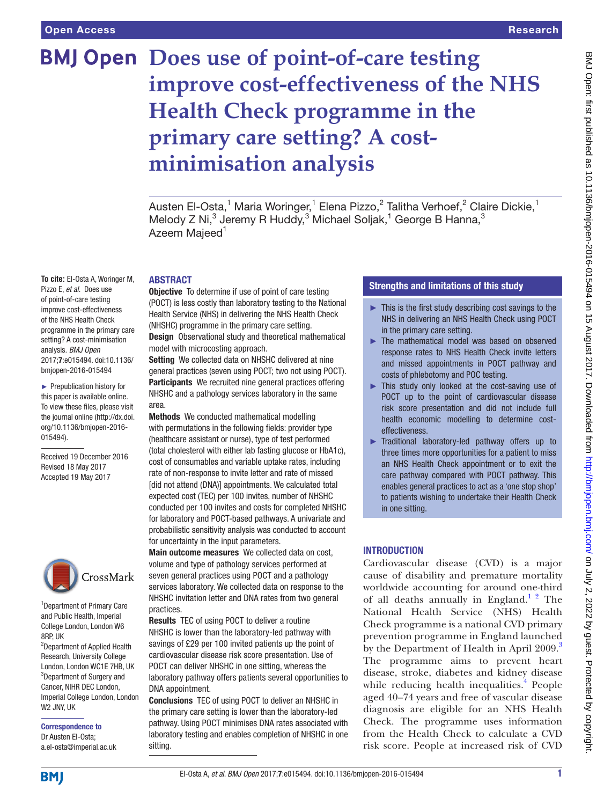# **BMJ Open Does use of point-of-care testing improve cost-effectiveness of the NHS Health Check programme in the primary care setting? A costminimisation analysis**

Austen El-Osta,<sup>1</sup> Maria Woringer,<sup>1</sup> Elena Pizzo,<sup>2</sup> Talitha Verhoef,<sup>2</sup> Claire Dickie,<sup>1</sup> Melody Z Ni,<sup>3</sup> Jeremy R Huddy,<sup>3</sup> Michael Soljak,<sup>1</sup> George B Hanna,<sup>3</sup> Azeem Majeed<sup>1</sup>

## **ABSTRACT**

**Objective** To determine if use of point of care testing (POCT) is less costly than laboratory testing to the National Health Service (NHS) in delivering the NHS Health Check (NHSHC) programme in the primary care setting. **Design** Observational study and theoretical mathematical model with microcosting approach.

Setting We collected data on NHSHC delivered at nine general practices (seven using POCT; two not using POCT). Participants We recruited nine general practices offering NHSHC and a pathology services laboratory in the same area.

Methods We conducted mathematical modelling with permutations in the following fields: provider type (healthcare assistant or nurse), type of test performed (total cholesterol with either lab fasting glucose or HbA1c), cost of consumables and variable uptake rates, including rate of non-response to invite letter and rate of missed [did not attend (DNA)] appointments. We calculated total expected cost (TEC) per 100 invites, number of NHSHC conducted per 100 invites and costs for completed NHSHC for laboratory and POCT-based pathways. A univariate and probabilistic sensitivity analysis was conducted to account for uncertainty in the input parameters.

Main outcome measures We collected data on cost, volume and type of pathology services performed at seven general practices using POCT and a pathology services laboratory. We collected data on response to the NHSHC invitation letter and DNA rates from two general practices.

Results TEC of using POCT to deliver a routine NHSHC is lower than the laboratory-led pathway with savings of £29 per 100 invited patients up the point of cardiovascular disease risk score presentation. Use of POCT can deliver NHSHC in one sitting, whereas the laboratory pathway offers patients several opportunities to DNA appointment.

Conclusions TEC of using POCT to deliver an NHSHC in the primary care setting is lower than the laboratory-led pathway. Using POCT minimises DNA rates associated with laboratory testing and enables completion of NHSHC in one sitting.

## Strengths and limitations of this study

- ► This is the first study describing cost savings to the NHS in delivering an NHS Health Check using POCT in the primary care setting.
- ► The mathematical model was based on observed response rates to NHS Health Check invite letters and missed appointments in POCT pathway and costs of phlebotomy and POC testing.
- ► This study only looked at the cost-saving use of POCT up to the point of cardiovascular disease risk score presentation and did not include full health economic modelling to determine costeffectiveness.
- ► Traditional laboratory-led pathway offers up to three times more opportunities for a patient to miss an NHS Health Check appointment or to exit the care pathway compared with POCT pathway. This enables general practices to act as a 'one stop shop' to patients wishing to undertake their Health Check in one sitting.

## **INTRODUCTION**

Cardiovascular disease (CVD) is a major cause of disability and premature mortality worldwide accounting for around one-third of all deaths annually in England.<sup>12</sup> The National Health Service (NHS) Health Check programme is a national CVD primary prevention programme in England launched by the Department of Health in April 2009.<sup>[3](#page-9-1)</sup> The programme aims to prevent heart disease, stroke, diabetes and kidney disease while reducing health inequalities.<sup>[4](#page-9-2)</sup> People aged 40–74 years and free of vascular disease diagnosis are eligible for an NHS Health Check. The programme uses information from the Health Check to calculate a CVD risk score. People at increased risk of CVD

**To cite:** El-Osta A, Woringer M, Pizzo E, *et al*. Does use of point-of-care testing improve cost-effectiveness of the NHS Health Check programme in the primary care setting? A cost-minimisation analysis. *BMJ Open* 2017;7:e015494. doi:10.1136/ bmjopen-2016-015494

► Prepublication history for this paper is available online. To view these files, please visit the journal online [\(http://dx.doi.](http://dx.doi.org/10.1136/bmjopen-2016-015494) [org/10.1136/bmjopen-2016-](http://dx.doi.org/10.1136/bmjopen-2016-015494) [015494\)](http://dx.doi.org/10.1136/bmjopen-2016-015494).

Received 19 December 2016 Revised 18 May 2017 Accepted 19 May 2017



1 Department of Primary Care and Public Health, Imperial College London, London W6 8RP, UK

<sup>2</sup>Department of Applied Health Research, University College London, London WC1E 7HB, UK <sup>3</sup>Department of Surgery and Cancer, NIHR DEC London, Imperial College London, London W2 JNY, UK

Correspondence to Dr Austen El-Osta; a.el-osta@imperial.ac.uk BMJ Open: first published as 10.1136/bmjopen-2016-015494 on 15 August 2017. Downloaded from http://bmjopen.bmj.com/ on July 2, 2022 by guest. Protected by copyright BMJ Open: first published as 10.1136/bmjopen-2016-015494 on 15 August 2017. Downloaded from <http://bmjopen.bmj.com/> on July 2, 2022 by guest. Protected by copyright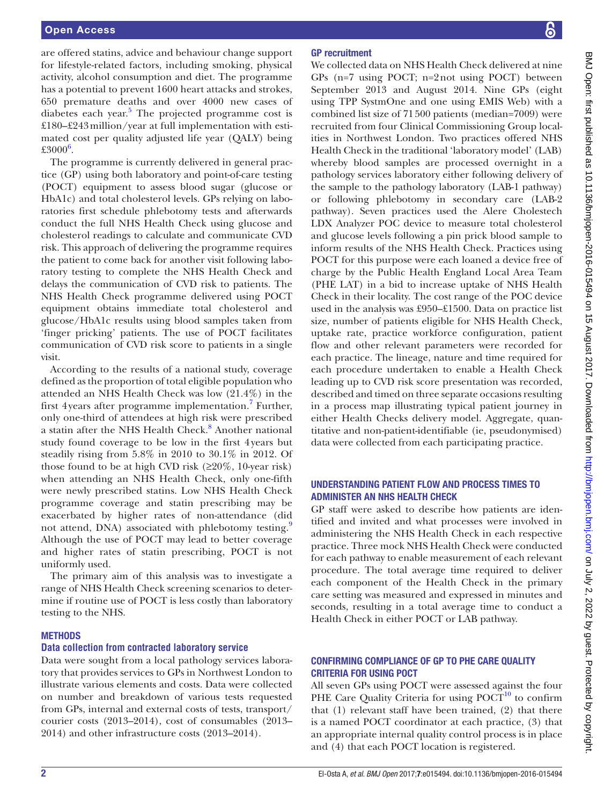are offered statins, advice and behaviour change support for lifestyle-related factors, including smoking, physical activity, alcohol consumption and diet. The programme has a potential to prevent 1600 heart attacks and strokes, 650 premature deaths and over 4000 new cases of diabetes each year.<sup>[5](#page-9-3)</sup> The projected programme cost is £180–£243million/year at full implementation with estimated cost per quality adjusted life year (QALY) being £3000 $^6$  $^6$ .

The programme is currently delivered in general practice (GP) using both laboratory and point-of-care testing (POCT) equipment to assess blood sugar (glucose or HbA1c) and total cholesterol levels. GPs relying on laboratories first schedule phlebotomy tests and afterwards conduct the full NHS Health Check using glucose and cholesterol readings to calculate and communicate CVD risk. This approach of delivering the programme requires the patient to come back for another visit following laboratory testing to complete the NHS Health Check and delays the communication of CVD risk to patients. The NHS Health Check programme delivered using POCT equipment obtains immediate total cholesterol and glucose/HbA1c results using blood samples taken from 'finger pricking' patients. The use of POCT facilitates communication of CVD risk score to patients in a single visit.

According to the results of a national study, coverage defined as the proportion of total eligible population who attended an NHS Health Check was low (21.4%) in the first 4 years after programme implementation.<sup>[7](#page-9-5)</sup> Further, only one-third of attendees at high risk were prescribed a statin after the NHS Health Check.<sup>[8](#page-9-6)</sup> Another national study found coverage to be low in the first 4 years but steadily rising from 5.8% in 2010 to 30.1% in 2012. Of those found to be at high CVD risk  $(≥20\%, 10$ -year risk) when attending an NHS Health Check, only one-fifth were newly prescribed statins. Low NHS Health Check programme coverage and statin prescribing may be exacerbated by higher rates of non-attendance (did not attend, DNA) associated with phlebotomy testing.<sup>[9](#page-9-7)</sup> Although the use of POCT may lead to better coverage and higher rates of statin prescribing, POCT is not uniformly used.

The primary aim of this analysis was to investigate a range of NHS Health Check screening scenarios to determine if routine use of POCT is less costly than laboratory testing to the NHS.

## **METHODS**

## **Data collection from contracted laboratory service**

Data were sought from a local pathology services laboratory that provides services to GPs in Northwest London to illustrate various elements and costs. Data were collected on number and breakdown of various tests requested from GPs, internal and external costs of tests, transport/ courier costs (2013–2014), cost of consumables (2013– 2014) and other infrastructure costs (2013–2014).

# GP recruitment

We collected data on NHS Health Check delivered at nine GPs (n=7 using POCT; n=2not using POCT) between September 2013 and August 2014. Nine GPs (eight using TPP SystmOne and one using EMIS Web) with a combined list size of 71500 patients (median=7009) were recruited from four Clinical Commissioning Group localities in Northwest London. Two practices offered NHS Health Check in the traditional 'laboratory model' (LAB) whereby blood samples are processed overnight in a pathology services laboratory either following delivery of the sample to the pathology laboratory (LAB-1 pathway) or following phlebotomy in secondary care (LAB-2 pathway). Seven practices used the Alere Cholestech LDX Analyzer POC device to measure total cholesterol and glucose levels following a pin prick blood sample to inform results of the NHS Health Check. Practices using POCT for this purpose were each loaned a device free of charge by the Public Health England Local Area Team (PHE LAT) in a bid to increase uptake of NHS Health Check in their locality. The cost range of the POC device used in the analysis was £950–£1500. Data on practice list size, number of patients eligible for NHS Health Check, uptake rate, practice workforce configuration, patient flow and other relevant parameters were recorded for each practice. The lineage, nature and time required for each procedure undertaken to enable a Health Check leading up to CVD risk score presentation was recorded, described and timed on three separate occasions resulting in a process map illustrating typical patient journey in either Health Checks delivery model. Aggregate, quantitative and non-patient-identifiable (ie, pseudonymised) data were collected from each participating practice.

# Understanding patient flow and process times to administer an NHS Health Check

GP staff were asked to describe how patients are identified and invited and what processes were involved in administering the NHS Health Check in each respective practice. Three mock NHS Health Check were conducted for each pathway to enable measurement of each relevant procedure. The total average time required to deliver each component of the Health Check in the primary care setting was measured and expressed in minutes and seconds, resulting in a total average time to conduct a Health Check in either POCT or LAB pathway.

## Confirming compliance of GP to PHE care quality criteria for using POCT

All seven GPs using POCT were assessed against the four PHE Care Quality Criteria for using  $POCT<sup>10</sup>$  to confirm that (1) relevant staff have been trained, (2) that there is a named POCT coordinator at each practice, (3) that an appropriate internal quality control process is in place and (4) that each POCT location is registered.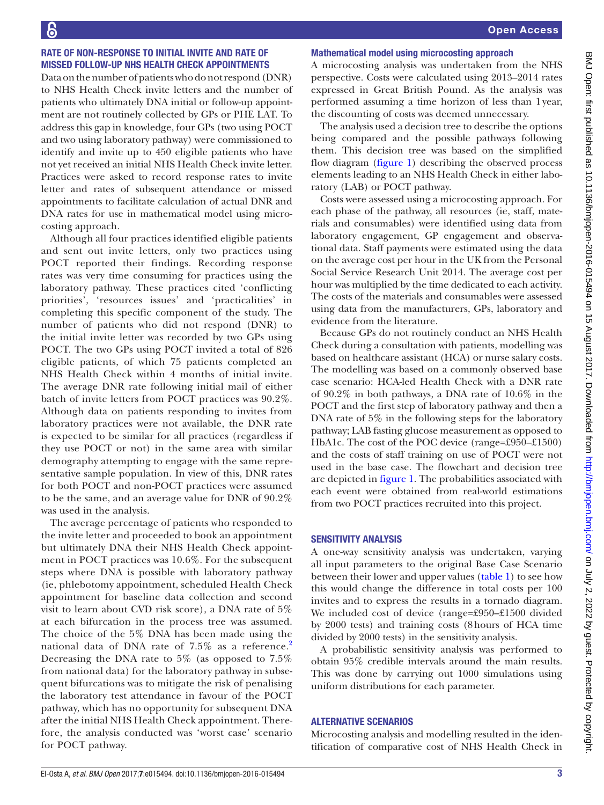# Rate of non-response to initial invite and rate of missed follow-up NHS Health Check appointments

Data on the number of patients who do not respond (DNR) to NHS Health Check invite letters and the number of patients who ultimately DNA initial or follow-up appointment are not routinely collected by GPs or PHE LAT. To address this gap in knowledge, four GPs (two using POCT and two using laboratory pathway) were commissioned to identify and invite up to 450 eligible patients who have not yet received an initial NHS Health Check invite letter. Practices were asked to record response rates to invite letter and rates of subsequent attendance or missed appointments to facilitate calculation of actual DNR and DNA rates for use in mathematical model using microcosting approach.

Although all four practices identified eligible patients and sent out invite letters, only two practices using POCT reported their findings. Recording response rates was very time consuming for practices using the laboratory pathway. These practices cited 'conflicting priorities', 'resources issues' and 'practicalities' in completing this specific component of the study. The number of patients who did not respond (DNR) to the initial invite letter was recorded by two GPs using POCT. The two GPs using POCT invited a total of 826 eligible patients, of which 75 patients completed an NHS Health Check within 4 months of initial invite. The average DNR rate following initial mail of either batch of invite letters from POCT practices was 90.2%. Although data on patients responding to invites from laboratory practices were not available, the DNR rate is expected to be similar for all practices (regardless if they use POCT or not) in the same area with similar demography attempting to engage with the same representative sample population. In view of this, DNR rates for both POCT and non-POCT practices were assumed to be the same, and an average value for DNR of 90.2% was used in the analysis.

The average percentage of patients who responded to the invite letter and proceeded to book an appointment but ultimately DNA their NHS Health Check appointment in POCT practices was 10.6%. For the subsequent steps where DNA is possible with laboratory pathway (ie, phlebotomy appointment, scheduled Health Check appointment for baseline data collection and second visit to learn about CVD risk score), a DNA rate of 5% at each bifurcation in the process tree was assumed. The choice of the 5% DNA has been made using the national data of DNA rate of  $7.5\%$  as a reference.<sup>[2](#page-9-9)</sup> Decreasing the DNA rate to 5% (as opposed to 7.5% from national data) for the laboratory pathway in subsequent bifurcations was to mitigate the risk of penalising the laboratory test attendance in favour of the POCT pathway, which has no opportunity for subsequent DNA after the initial NHS Health Check appointment. Therefore, the analysis conducted was 'worst case' scenario for POCT pathway.

# Mathematical model using microcosting approach

A microcosting analysis was undertaken from the NHS perspective. Costs were calculated using 2013–2014 rates expressed in Great British Pound. As the analysis was performed assuming a time horizon of less than 1year, the discounting of costs was deemed unnecessary.

The analysis used a decision tree to describe the options being compared and the possible pathways following them. This decision tree was based on the simplified flow diagram ([figure](#page-3-0) 1) describing the observed process elements leading to an NHS Health Check in either laboratory (LAB) or POCT pathway.

Costs were assessed using a microcosting approach. For each phase of the pathway, all resources (ie, staff, materials and consumables) were identified using data from laboratory engagement, GP engagement and observational data. Staff payments were estimated using the data on the average cost per hour in the UK from the Personal Social Service Research Unit 2014. The average cost per hour was multiplied by the time dedicated to each activity. The costs of the materials and consumables were assessed using data from the manufacturers, GPs, laboratory and evidence from the literature.

Because GPs do not routinely conduct an NHS Health Check during a consultation with patients, modelling was based on healthcare assistant (HCA) or nurse salary costs. The modelling was based on a commonly observed base case scenario: HCA-led Health Check with a DNR rate of 90.2% in both pathways, a DNA rate of 10.6% in the POCT and the first step of laboratory pathway and then a DNA rate of 5% in the following steps for the laboratory pathway; LAB fasting glucose measurement as opposed to HbA1c. The cost of the POC device (range=£950–£1500) and the costs of staff training on use of POCT were not used in the base case. The flowchart and decision tree are depicted in [figure](#page-3-0) 1. The probabilities associated with each event were obtained from real-world estimations from two POCT practices recruited into this project.

## Sensitivity analysis

A one-way sensitivity analysis was undertaken, varying all input parameters to the original Base Case Scenario between their lower and upper values ([table](#page-4-0) 1) to see how this would change the difference in total costs per 100 invites and to express the results in a tornado diagram. We included cost of device (range=£950–£1500 divided by 2000 tests) and training costs (8hours of HCA time divided by 2000 tests) in the sensitivity analysis.

A probabilistic sensitivity analysis was performed to obtain 95% credible intervals around the main results. This was done by carrying out 1000 simulations using uniform distributions for each parameter.

## Alternative scenarios

Microcosting analysis and modelling resulted in the identification of comparative cost of NHS Health Check in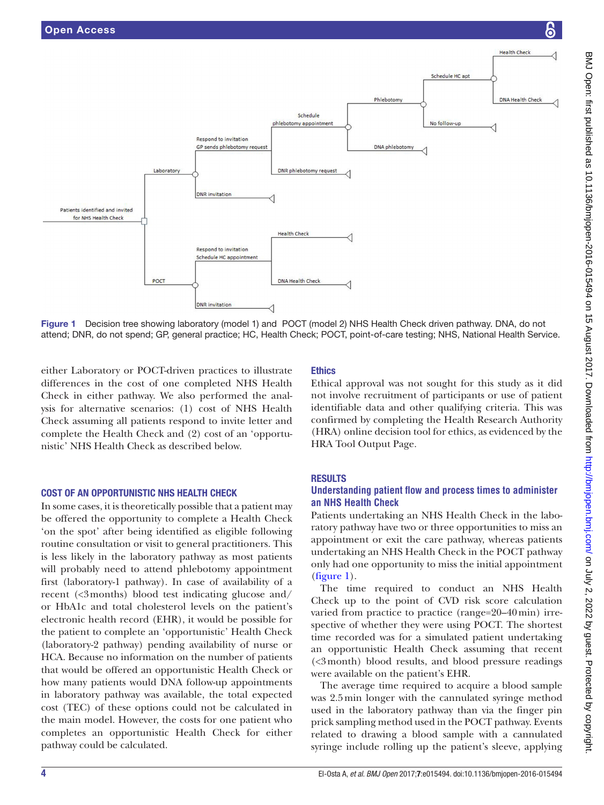**Health Check** 



<span id="page-3-0"></span>Figure 1 Decision tree showing laboratory (model 1) and POCT (model 2) NHS Health Check driven pathway. DNA, do not attend; DNR, do not spend; GP, general practice; HC, Health Check; POCT, point-of-care testing; NHS, National Health Service.

either Laboratory or POCT-driven practices to illustrate differences in the cost of one completed NHS Health Check in either pathway. We also performed the analysis for alternative scenarios: (1) cost of NHS Health Check assuming all patients respond to invite letter and complete the Health Check and (2) cost of an 'opportunistic' NHS Health Check as described below.

## Cost of an opportunistic NHS Health Check

In some cases, it is theoretically possible that a patient may be offered the opportunity to complete a Health Check 'on the spot' after being identified as eligible following routine consultation or visit to general practitioners. This is less likely in the laboratory pathway as most patients will probably need to attend phlebotomy appointment first (laboratory-1 pathway). In case of availability of a recent (<3months) blood test indicating glucose and/ or HbA1c and total cholesterol levels on the patient's electronic health record (EHR), it would be possible for the patient to complete an 'opportunistic' Health Check (laboratory-2 pathway) pending availability of nurse or HCA. Because no information on the number of patients that would be offered an opportunistic Health Check or how many patients would DNA follow-up appointments in laboratory pathway was available, the total expected cost (TEC) of these options could not be calculated in the main model. However, the costs for one patient who completes an opportunistic Health Check for either pathway could be calculated.

# **Ethics**

Ethical approval was not sought for this study as it did not involve recruitment of participants or use of patient identifiable data and other qualifying criteria. This was confirmed by completing the Health Research Authority (HRA) online decision tool for ethics, as evidenced by the HRA Tool Output Page.

## **RESULTS**

## **Understanding patient flow and process times to administer an NHS Health Check**

Patients undertaking an NHS Health Check in the laboratory pathway have two or three opportunities to miss an appointment or exit the care pathway, whereas patients undertaking an NHS Health Check in the POCT pathway only had one opportunity to miss the initial appointment [\(figure](#page-3-0) 1).

The time required to conduct an NHS Health Check up to the point of CVD risk score calculation varied from practice to practice (range=20–40min) irrespective of whether they were using POCT. The shortest time recorded was for a simulated patient undertaking an opportunistic Health Check assuming that recent (<3month) blood results, and blood pressure readings were available on the patient's EHR.

The average time required to acquire a blood sample was 2.5min longer with the cannulated syringe method used in the laboratory pathway than via the finger pin prick sampling method used in the POCT pathway. Events related to drawing a blood sample with a cannulated syringe include rolling up the patient's sleeve, applying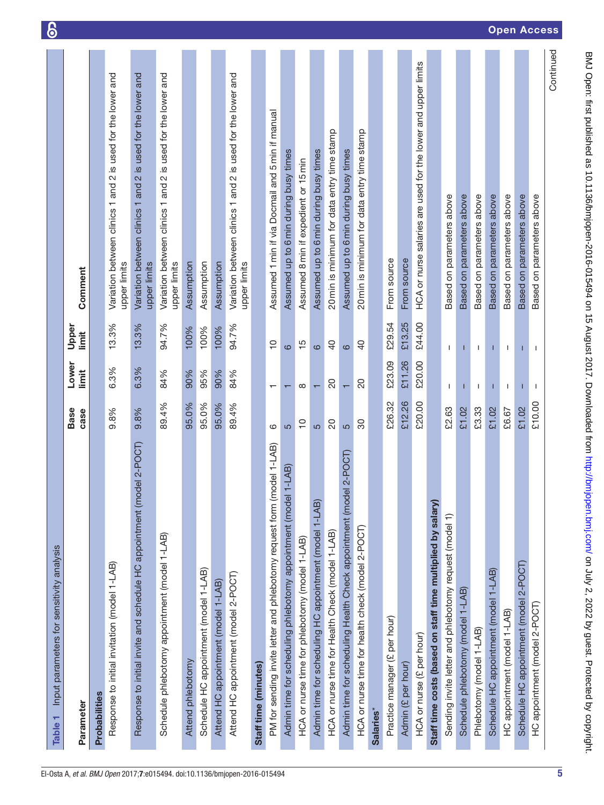| Input parameters for sensitivity analysis<br>Table 1                   |                     |                          |                |                                                                             |
|------------------------------------------------------------------------|---------------------|--------------------------|----------------|-----------------------------------------------------------------------------|
| Parameter                                                              | <b>Base</b><br>case | Lower<br>limit           | Upper<br>limit | Comment                                                                     |
| Probabilities                                                          |                     |                          |                |                                                                             |
| Response to initial invitation (model 1-LAB)                           | 9.8%                | 6.3%                     | 13.3%          | Variation between clinics 1 and 2 is used for the lower and<br>upper limits |
| Response to initial invite and schedule HC appointment (model 2-POCT)  | 9.8%                | 6.3%                     | 13.3%          | Variation between clinics 1 and 2 is used for the lower and<br>upper limits |
| Schedule phlebotomy appointment (model 1-LAB)                          | 89.4%               | 84%                      | 94.7%          | Variation between clinics 1 and 2 is used for the lower and<br>upper limits |
| Attend phlebotomy                                                      | 95.0%               | 90%                      | 100%           | Assumption                                                                  |
| Schedule HC appointment (model 1-LAB)                                  | 95.0%               | 95%                      | 100%           | Assumption                                                                  |
| Attend HC appointment (model 1-LAB)                                    | 95.0%               | 90%                      | 100%           | Assumption                                                                  |
| Attend HC appointment (model 2-POCT)                                   | 89.4%               | 84%                      | 94.7%          | Variation between clinics 1 and 2 is used for the lower and<br>upper limits |
| Staff time (minutes)                                                   |                     |                          |                |                                                                             |
| PM for sending invite letter and phlebotomy request form (model 1-LAB) | စ                   | $\overline{\phantom{0}}$ | $\overline{C}$ | Assumed 1 min if via Docmail and 5 min if manual                            |
| $I-LAB$<br>Admin time for scheduling phlebotomy appointment (model 1   | 5                   |                          | ဖ              | Assumed up to 6 min during busy times                                       |
| HCA or nurse time for phlebotomy (model 1-LAB)                         | $\overline{C}$      | $^\infty$                | $\frac{5}{1}$  | Assumed 8 min if expedient or 15 min                                        |
| Admin time for scheduling HC appointment (model 1-LAB)                 | 5                   | $\mathbf{\tau}$          | ဖ              | Assumed up to 6 min during busy times                                       |
| HCA or nurse time for Health Check (model 1-LAB)                       | $\overline{c}$      | $\overline{c}$           | $\overline{a}$ | 20 min is minimum for data entry time stamp                                 |
| 2-POCT)<br>Admin time for scheduling Health Check appointment (model   | 5                   |                          | $\circ$        | Assumed up to 6 min during busy times                                       |
| HCA or nurse time for health check (model 2-POCT)                      | 80                  | 20                       | $\overline{a}$ | 20 min is minimum for data entry time stamp                                 |
| Salaries*                                                              |                     |                          |                |                                                                             |
| Practice manager (£ per hour)                                          | £26.32              | £23.09                   | £29.54         | From source                                                                 |
| Admin (£ per hour)                                                     | £12.26              | £11.26                   | £13.25         | From source                                                                 |
| HCA or nurse (£ per hour)                                              | £20.00              | £20.00                   | £44.00         | HCA or nurse salaries are used for the lower and upper limits               |
| Staff time costs (based on staff time multiplied by salary)            |                     |                          |                |                                                                             |
| Sending invite letter and phlebotomy request (model 1)                 | £2.63               | T.                       | $\mathbf{L}$   | Based on parameters above                                                   |
| Schedule phlebotomy (model 1-LAB)                                      | £1.02               |                          | т              | Based on parameters above                                                   |
| Phlebotomy (model 1-LAB)                                               | £3.33               | T                        | $\mathbf{L}$   | Based on parameters above                                                   |
| Schedule HC appointment (model 1-LAB)                                  | £1.02               | П                        | Т              | Based on parameters above                                                   |
| HC appointment (model 1-LAB)                                           | £6.67               | T                        | $\mathbf{I}$   | Based on parameters above                                                   |
| Schedule HC appointment (model 2-POCT)                                 | £1.02               |                          | ı              | Based on parameters above                                                   |
| HC appointment (model 2-POCT)                                          | £10.00              | $\mathbf{I}$             | $\mathbf{I}$   | Based on parameters above                                                   |
|                                                                        |                     |                          |                | Continued                                                                   |

<span id="page-4-0"></span>5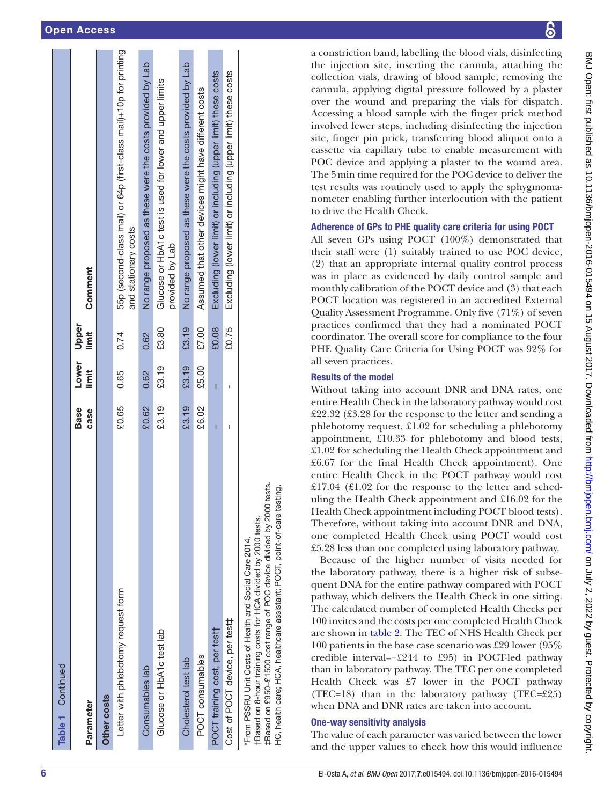| Table 1 Continued                                                                                                       |                     |                |                |                                                                                            |
|-------------------------------------------------------------------------------------------------------------------------|---------------------|----------------|----------------|--------------------------------------------------------------------------------------------|
| Parameter                                                                                                               | <b>Base</b><br>case | Lower<br>limit | Upper<br>limit | Comment                                                                                    |
| Other costs                                                                                                             |                     |                |                |                                                                                            |
| Letter with phlebotomy request torm                                                                                     | £0.65               | 0.65           | 0.74           | 55p (second-class mail) or 64p (first-class mail)+10p for printing<br>and stationary costs |
| Consumables lab                                                                                                         | £0.62               | 0.62           | 0.62           | No range proposed as these were the costs provided by Lab                                  |
| Glucose or HbA1c test lab                                                                                               | £3.19               | £3.19          | £3.80          | Glucose or HbA1c test is used for lower and upper limits<br>provided by Lab                |
| Cholesterol test lab                                                                                                    | £3.19               | £3.19          | £3.19          | No range proposed as these were the costs provided by Lab                                  |
| POCT consumables                                                                                                        | £6.02               | £5.00          | £7.00          | Assumed that other devices might have different costs                                      |
| POCT training cost, per test†                                                                                           |                     | Ī              | £0.08          | Excluding (lower limit) or including (upper limit) these costs                             |
| Cost of POCT device, per test‡                                                                                          | I                   |                | £0.75          | Excluding (lower limit) or including (upper limit) these costs                             |
| HBased on 8-hour training costs for HCA divided by 2000 tests.<br>From PSSRU Unit Costs of Health and Social Care 2014. |                     |                |                |                                                                                            |

a constriction band, labelling the blood vials, disinfecting the injection site, inserting the cannula, attaching the collection vials, drawing of blood sample, removing the cannula, applying digital pressure followed by a plaster over the wound and preparing the vials for dispatch. Accessing a blood sample with the finger prick method involved fewer steps, including disinfecting the injection site, finger pin prick, transferring blood aliquot onto a cassette via capillary tube to enable measurement with POC device and applying a plaster to the wound area. The 5min time required for the POC device to deliver the test results was routinely used to apply the sphygmomanometer enabling further interlocution with the patient to drive the Health Check.

# Adherence of GPs to PHE quality care criteria for using POCT

All seven GPs using POCT (100%) demonstrated that their staff were (1) suitably trained to use POC device, (2) that an appropriate internal quality control process was in place as evidenced by daily control sample and monthly calibration of the POCT device and (3) that each POCT location was registered in an accredited External Quality Assessment Programme. Only five (71%) of seven practices confirmed that they had a nominated POCT coordinator. The overall score for compliance to the four PHE Quality Care Criteria for Using POCT was 92% for all seven practices.

# Results of the model

Without taking into account DNR and DNA rates, one entire Health Check in the laboratory pathway would cost £22.32 (£3.28 for the response to the letter and sending a phlebotomy request, £1.02 for scheduling a phlebotomy appointment, £10.33 for phlebotomy and blood tests, £1.02 for scheduling the Health Check appointment and £6.67 for the final Health Check appointment). One entire Health Check in the POCT pathway would cost £17.04 (£1.02 for the response to the letter and sched uling the Health Check appointment and £16.02 for the Health Check appointment including POCT blood tests). Therefore, without taking into account DNR and DNA, one completed Health Check using POCT would cost £5.28 less than one completed using laboratory pathway.

Because of the higher number of visits needed for the laboratory pathway, there is a higher risk of subse quent DNA for the entire pathway compared with POCT pathway, which delivers the Health Check in one sitting. The calculated number of completed Health Checks per 100 invites and the costs per one completed Health Check are shown in [table](#page-6-0) 2. The TEC of NHS Health Check per 100 patients in the base case scenario was £29 lower (95% credible interval=−£244 to £95) in POCT-led pathway than in laboratory pathway. The TEC per one completed Health Check was £7 lower in the POCT pathway  $(TEC=18)$  than in the laboratory pathway  $(TEC=£25)$ when DNA and DNR rates are taken into account.

# One-way sensitivity analysis

‡Based on £950–£1500 cost range of POC device divided by 2000 tests. HC, health care; HCA, healthcare assistant; POCT, point-of-care testing.

:Based on £950-£1500 cost range of POC

မှ

health care; HCA, healthcare assistant; POCT, point-of-care testing.

device divided by 2000 tests.

The value of each parameter was varied between the lower and the upper values to check how this would influence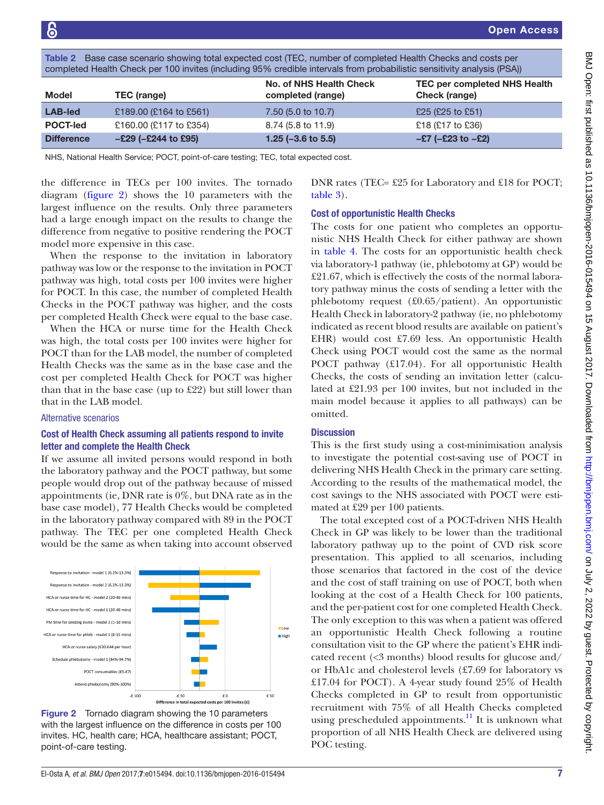<span id="page-6-0"></span>Base case scenario showing total expected cost (TEC, number of completed Health Checks and costs per completed Health Check per 100 invites (including 95% credible intervals from probabilistic sensitivity analysis (PSA))

| <b>TEC</b> (range)       | No. of NHS Health Check<br>completed (range) | <b>TEC per completed NHS Health</b><br>Check (range) |
|--------------------------|----------------------------------------------|------------------------------------------------------|
| £189.00 (£164 to £561)   | 7.50 (5.0 to 10.7)                           | £25 (£25 to £51)                                     |
| £160.00 (£117 to £354)   | 8.74 (5.8 to 11.9)                           | £18 (£17 to £36)                                     |
| $-E29$ ( $-E244$ to £95) | 1.25 $(-3.6 \text{ to } 5.5)$                | $-E7$ ( $-E23$ to $-E2$ )                            |
|                          |                                              |                                                      |

NHS, National Health Service; POCT, point-of-care testing; TEC, total expected cost.

the difference in TECs per 100 invites. The tornado diagram ([figure](#page-6-1) 2) shows the 10 parameters with the largest influence on the results. Only three parameters had a large enough impact on the results to change the difference from negative to positive rendering the POCT model more expensive in this case.

When the response to the invitation in laboratory pathway was low or the response to the invitation in POCT pathway was high, total costs per 100 invites were higher for POCT. In this case, the number of completed Health Checks in the POCT pathway was higher, and the costs per completed Health Check were equal to the base case.

When the HCA or nurse time for the Health Check was high, the total costs per 100 invites were higher for POCT than for the LAB model, the number of completed Health Checks was the same as in the base case and the cost per completed Health Check for POCT was higher than that in the base case (up to £22) but still lower than that in the LAB model.

## Alternative scenarios

## Cost of Health Check assuming all patients respond to invite letter and complete the Health Check

If we assume all invited persons would respond in both the laboratory pathway and the POCT pathway, but some people would drop out of the pathway because of missed appointments (ie, DNR rate is 0%, but DNA rate as in the base case model), 77 Health Checks would be completed in the laboratory pathway compared with 89 in the POCT pathway. The TEC per one completed Health Check would be the same as when taking into account observed



<span id="page-6-1"></span>Figure 2 Tornado diagram showing the 10 parameters with the largest influence on the difference in costs per 100 invites. HC, health care; HCA, healthcare assistant; POCT, point-of-care testing.

DNR rates (TEC= £25 for Laboratory and £18 for POCT; [table](#page-7-0) 3).

#### Cost of opportunistic Health Checks

The costs for one patient who completes an opportunistic NHS Health Check for either pathway are shown in [table](#page-7-1) 4. The costs for an opportunistic health check via laboratory-1 pathway (ie, phlebotomy at GP) would be £21.67, which is effectively the costs of the normal laboratory pathway minus the costs of sending a letter with the phlebotomy request (£0.65/patient). An opportunistic Health Check in laboratory-2 pathway (ie, no phlebotomy indicated as recent blood results are available on patient's EHR) would cost £7.69 less. An opportunistic Health Check using POCT would cost the same as the normal POCT pathway (£17.04). For all opportunistic Health Checks, the costs of sending an invitation letter (calculated at £21.93 per 100 invites, but not included in the main model because it applies to all pathways) can be omitted.

#### **Discussion**

This is the first study using a cost-minimisation analysis to investigate the potential cost-saving use of POCT in delivering NHS Health Check in the primary care setting. According to the results of the mathematical model, the cost savings to the NHS associated with POCT were estimated at £29 per 100 patients.

The total excepted cost of a POCT-driven NHS Health Check in GP was likely to be lower than the traditional laboratory pathway up to the point of CVD risk score presentation. This applied to all scenarios, including those scenarios that factored in the cost of the device and the cost of staff training on use of POCT, both when looking at the cost of a Health Check for 100 patients, and the per-patient cost for one completed Health Check. The only exception to this was when a patient was offered an opportunistic Health Check following a routine consultation visit to the GP where the patient's EHR indicated recent (<3 months) blood results for glucose and/ or HbA1c and cholesterol levels (£7.69 for laboratory vs £17.04 for POCT). A 4-year study found 25% of Health Checks completed in GP to result from opportunistic recruitment with 75% of all Health Checks completed using prescheduled appointments. $\frac{11}{11}$  It is unknown what proportion of all NHS Health Check are delivered using POC testing.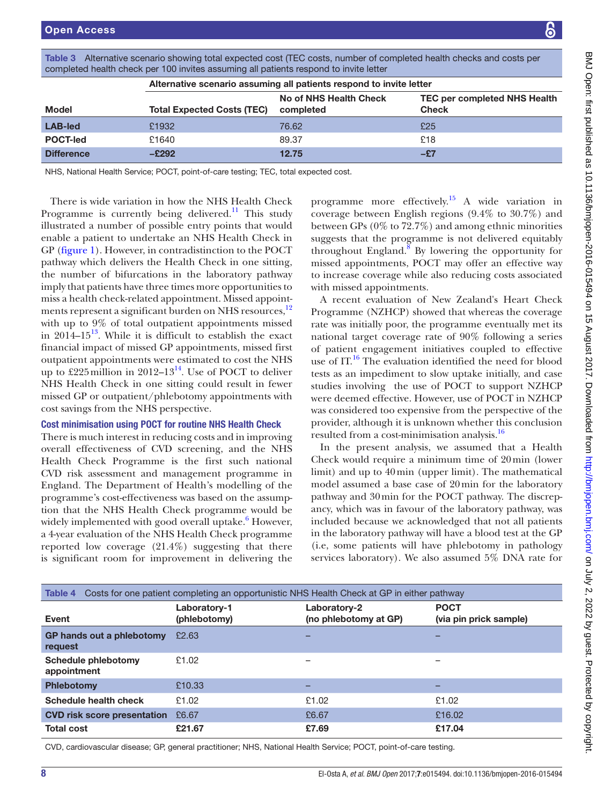|                                                                     | completed health check per 100 invites assuming all patients respond to invite letter                                                                                                                                                                                                                                                                                                                                                                                                                                                                                                                                                                                                                                                                                                                                                |                                            |                                                                                                                                                                                                                                                                                                                                                                                                                                                                                                                                                                                                                                                                                                                                                                                                             |  |  |
|---------------------------------------------------------------------|--------------------------------------------------------------------------------------------------------------------------------------------------------------------------------------------------------------------------------------------------------------------------------------------------------------------------------------------------------------------------------------------------------------------------------------------------------------------------------------------------------------------------------------------------------------------------------------------------------------------------------------------------------------------------------------------------------------------------------------------------------------------------------------------------------------------------------------|--------------------------------------------|-------------------------------------------------------------------------------------------------------------------------------------------------------------------------------------------------------------------------------------------------------------------------------------------------------------------------------------------------------------------------------------------------------------------------------------------------------------------------------------------------------------------------------------------------------------------------------------------------------------------------------------------------------------------------------------------------------------------------------------------------------------------------------------------------------------|--|--|
| Alternative scenario assuming all patients respond to invite letter |                                                                                                                                                                                                                                                                                                                                                                                                                                                                                                                                                                                                                                                                                                                                                                                                                                      |                                            |                                                                                                                                                                                                                                                                                                                                                                                                                                                                                                                                                                                                                                                                                                                                                                                                             |  |  |
| Model                                                               | <b>Total Expected Costs (TEC)</b>                                                                                                                                                                                                                                                                                                                                                                                                                                                                                                                                                                                                                                                                                                                                                                                                    | <b>No of NHS Health Check</b><br>completed | <b>TEC per completed NHS Health</b><br><b>Check</b>                                                                                                                                                                                                                                                                                                                                                                                                                                                                                                                                                                                                                                                                                                                                                         |  |  |
| <b>LAB-led</b>                                                      | £1932                                                                                                                                                                                                                                                                                                                                                                                                                                                                                                                                                                                                                                                                                                                                                                                                                                | 76.62                                      | £25                                                                                                                                                                                                                                                                                                                                                                                                                                                                                                                                                                                                                                                                                                                                                                                                         |  |  |
| <b>POCT-led</b>                                                     | £1640                                                                                                                                                                                                                                                                                                                                                                                                                                                                                                                                                                                                                                                                                                                                                                                                                                | 89.37                                      | £18                                                                                                                                                                                                                                                                                                                                                                                                                                                                                                                                                                                                                                                                                                                                                                                                         |  |  |
| <b>Difference</b>                                                   | $-E292$                                                                                                                                                                                                                                                                                                                                                                                                                                                                                                                                                                                                                                                                                                                                                                                                                              | 12.75                                      | $-E7$                                                                                                                                                                                                                                                                                                                                                                                                                                                                                                                                                                                                                                                                                                                                                                                                       |  |  |
|                                                                     | NHS, National Health Service; POCT, point-of-care testing; TEC, total expected cost.                                                                                                                                                                                                                                                                                                                                                                                                                                                                                                                                                                                                                                                                                                                                                 |                                            |                                                                                                                                                                                                                                                                                                                                                                                                                                                                                                                                                                                                                                                                                                                                                                                                             |  |  |
|                                                                     | There is wide variation in how the NHS Health Check<br>rogramme is currently being delivered. <sup>11</sup> This study<br>llustrated a number of possible entry points that would<br>nable a patient to undertake an NHS Health Check in<br>GP (figure 1). However, in contradistinction to the POCT<br>athway which delivers the Health Check in one sitting,<br>he number of bifurcations in the laboratory pathway<br>mply that patients have three times more opportunities to<br>niss a health check-related appointment. Missed appoint-<br>nents represent a significant burden on NHS resources, $^{12}$<br>with up to 9% of total outpatient appointments missed<br>n 2014–15 <sup>13</sup> . While it is difficult to establish the exact<br>inancial impact of missed GP appointments, missed first<br>uppertunity to NHS | with missed appointments.                  | programme more effectively. <sup>15</sup> A wide variation is<br>coverage between English regions $(9.4\%$ to $30.7\%)$ and<br>between GPs $(0\%$ to $72.7\%)$ and among ethnic minoritie<br>suggests that the programme is not delivered equitabl<br>throughout England. <sup>8</sup> By lowering the opportunity fo<br>missed appointments, POCT may offer an effective wa<br>to increase coverage while also reducing costs associate<br>A recent evaluation of New Zealand's Heart Chec<br>Programme (NZHCP) showed that whereas the coverage<br>rate was initially poor, the programme eventually met it<br>national target coverage rate of 90% following a serie<br>of patient engagement initiatives coupled to effective<br>use of $\text{IT}^{\,16}$ The evaluation identified the need for black |  |  |

<span id="page-7-0"></span>Table 3 Alternative scenario showing total expected cost (TEC costs, number of completed health checks and costs per completed health check per 100 invites assum

Programme is currently being delivered.<sup>1</sup> illustrated a number of possible entry points that we are that we also that  $\alpha$ enable a patient to undertake an NHS Health  $GP$  [\(figure](#page-3-0) 1). However, in contradistinction pathway which delivers the Health Check in the number of bifurcations in the laboratory imply that patients have three times more opportunities to the toportunity. miss a health check-related appointment. Mi ments represent a significant burden on NHS with up to  $9\%$  of total outpatient appointments with up to  $9\%$ in  $2014-15^{13}$ . While it is difficult to establi financial impact of missed GP appointments outpatient appointments were estimated to cost the NHS up to £225 million in 2012–13<sup>14</sup>. Use of POCT to deliver NHS Health Check in one sitting could result in fewer missed GP or outpatient/phlebotomy appointments with cost savings from the NHS perspective.

## Cost minimisation using POCT for routine NHS Health Check

There is much interest in reducing costs and in improving overall effectiveness of CVD screening, and the NHS Health Check Programme is the first such national CVD risk assessment and management programme in England. The Department of Health's modelling of the programme's cost-effectiveness was based on the assumption that the NHS Health Check programme would be widely implemented with good overall uptake.<sup>6</sup> However, a 4-year evaluation of the NHS Health Check programme reported low coverage (21.4%) suggesting that there is significant room for improvement in delivering the

Heart Check the coverage tually met its wing a series to effective use of IT.<sup>16</sup> The evaluation identified the need for blood tests as an impediment to slow uptake initially, and case studies involving the use of POCT to support NZHCP were deemed effective. However, use of POCT in NZHCP was considered too expensive from the perspective of the provider, although it is unknown whether this conclusion resulted from a cost-minimisation analysis.<sup>[16](#page-9-15)</sup>

In the present analysis, we assumed that a Health Check would require a minimum time of 20min (lower limit) and up to 40min (upper limit). The mathematical model assumed a base case of 20min for the laboratory pathway and 30min for the POCT pathway. The discrepancy, which was in favour of the laboratory pathway, was included because we acknowledged that not all patients in the laboratory pathway will have a blood test at the GP (i.e, some patients will have phlebotomy in pathology services laboratory). We also assumed 5% DNA rate for

<span id="page-7-1"></span>

| Table 4                              | Costs for one patient completing an opportunistic NHS Health Check at GP in either pathway |                                       |                                       |
|--------------------------------------|--------------------------------------------------------------------------------------------|---------------------------------------|---------------------------------------|
| <b>Event</b>                         | Laboratory-1<br>(phlebotomy)                                                               | Laboratory-2<br>(no phlebotomy at GP) | <b>POCT</b><br>(via pin prick sample) |
| GP hands out a phlebotomy<br>request | £2.63                                                                                      |                                       |                                       |
| Schedule phlebotomy<br>appointment   | £1.02                                                                                      |                                       |                                       |
| Phlebotomy                           | £10.33                                                                                     | -                                     | -                                     |
| Schedule health check                | £1.02                                                                                      | £1.02                                 | £1.02                                 |
| <b>CVD risk score presentation</b>   | £6.67                                                                                      | £6.67                                 | £16.02                                |
| <b>Total cost</b>                    | £21.67                                                                                     | £7.69                                 | £17.04                                |

CVD, cardiovascular disease; GP, general practitioner; NHS, National Health Service; POCT, point-of-care testing.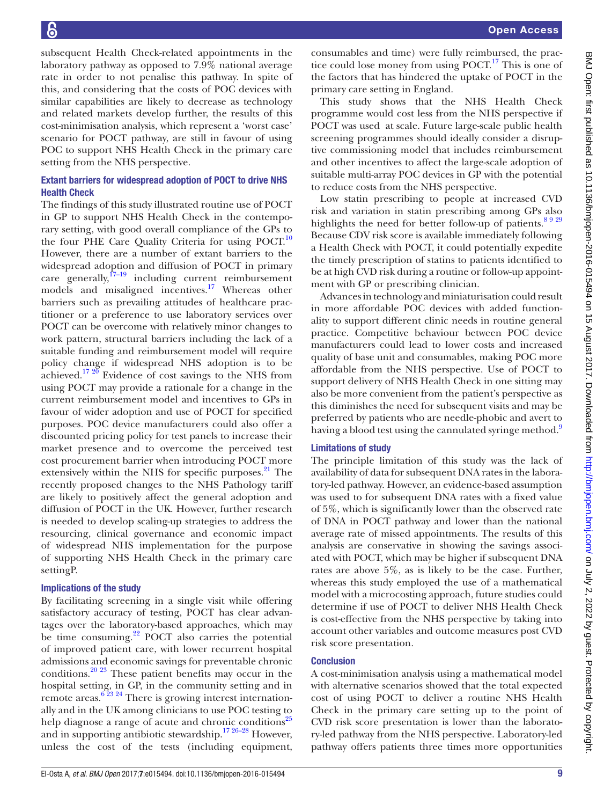subsequent Health Check-related appointments in the laboratory pathway as opposed to 7.9% national average rate in order to not penalise this pathway. In spite of this, and considering that the costs of POC devices with similar capabilities are likely to decrease as technology and related markets develop further, the results of this cost-minimisation analysis, which represent a 'worst case' scenario for POCT pathway, are still in favour of using POC to support NHS Health Check in the primary care setting from the NHS perspective.

## Extant barriers for widespread adoption of POCT to drive NHS Health Check

The findings of this study illustrated routine use of POCT in GP to support NHS Health Check in the contemporary setting, with good overall compliance of the GPs to the four PHE Care Quality Criteria for using POCT.<sup>[10](#page-9-8)</sup> However, there are a number of extant barriers to the widespread adoption and diffusion of POCT in primary care generally,  $17-19$  including current reimbursement models and misaligned incentives.[17](#page-9-16) Whereas other barriers such as prevailing attitudes of healthcare practitioner or a preference to use laboratory services over POCT can be overcome with relatively minor changes to work pattern, structural barriers including the lack of a suitable funding and reimbursement model will require policy change if widespread NHS adoption is to be achieved.<sup>17 20</sup> Evidence of cost savings to the NHS from using POCT may provide a rationale for a change in the current reimbursement model and incentives to GPs in favour of wider adoption and use of POCT for specified purposes. POC device manufacturers could also offer a discounted pricing policy for test panels to increase their market presence and to overcome the perceived test cost procurement barrier when introducing POCT more extensively within the NHS for specific purposes. $^{21}$  The recently proposed changes to the NHS Pathology tariff are likely to positively affect the general adoption and diffusion of POCT in the UK. However, further research is needed to develop scaling-up strategies to address the resourcing, clinical governance and economic impact of widespread NHS implementation for the purpose of supporting NHS Health Check in the primary care settingP.

## Implications of the study

By facilitating screening in a single visit while offering satisfactory accuracy of testing, POCT has clear advantages over the laboratory-based approaches, which may be time consuming. $^{22}$  POCT also carries the potential of improved patient care, with lower recurrent hospital admissions and economic savings for preventable chronic conditions[.20 23](#page-9-19) These patient benefits may occur in the hospital setting, in GP, in the community setting and in remote areas. $6\frac{23\,24}{2}$  There is growing interest internationally and in the UK among clinicians to use POC testing to help diagnose a range of acute and chronic conditions $^{25}$ and in supporting antibiotic stewardship.[17 26–28](#page-9-16) However, unless the cost of the tests (including equipment,

consumables and time) were fully reimbursed, the practice could lose money from using  $POCT<sup>17</sup>$  $POCT<sup>17</sup>$  $POCT<sup>17</sup>$ . This is one of the factors that has hindered the uptake of POCT in the primary care setting in England.

This study shows that the NHS Health Check programme would cost less from the NHS perspective if POCT was used at scale. Future large-scale public health screening programmes should ideally consider a disruptive commissioning model that includes reimbursement and other incentives to affect the large-scale adoption of suitable multi-array POC devices in GP with the potential to reduce costs from the NHS perspective.

Low statin prescribing to people at increased CVD risk and variation in statin prescribing among GPs also highlights the need for better follow-up of patients. $8929$ Because CDV risk score is available immediately following a Health Check with POCT, it could potentially expedite the timely prescription of statins to patients identified to be at high CVD risk during a routine or follow-up appointment with GP or prescribing clinician.

Advances in technology and miniaturisation could result in more affordable POC devices with added functionality to support different clinic needs in routine general practice. Competitive behaviour between POC device manufacturers could lead to lower costs and increased quality of base unit and consumables, making POC more affordable from the NHS perspective. Use of POCT to support delivery of NHS Health Check in one sitting may also be more convenient from the patient's perspective as this diminishes the need for subsequent visits and may be preferred by patients who are needle-phobic and avert to having a blood test using the cannulated syringe method.<sup>[9](#page-9-7)</sup>

## Limitations of study

The principle limitation of this study was the lack of availability of data for subsequent DNA rates in the laboratory-led pathway. However, an evidence-based assumption was used to for subsequent DNA rates with a fixed value of 5%, which is significantly lower than the observed rate of DNA in POCT pathway and lower than the national average rate of missed appointments. The results of this analysis are conservative in showing the savings associated with POCT, which may be higher if subsequent DNA rates are above 5%, as is likely to be the case. Further, whereas this study employed the use of a mathematical model with a microcosting approach, future studies could determine if use of POCT to deliver NHS Health Check is cost-effective from the NHS perspective by taking into account other variables and outcome measures post CVD risk score presentation.

## **Conclusion**

A cost-minimisation analysis using a mathematical model with alternative scenarios showed that the total expected cost of using POCT to deliver a routine NHS Health Check in the primary care setting up to the point of CVD risk score presentation is lower than the laboratory-led pathway from the NHS perspective. Laboratory-led pathway offers patients three times more opportunities